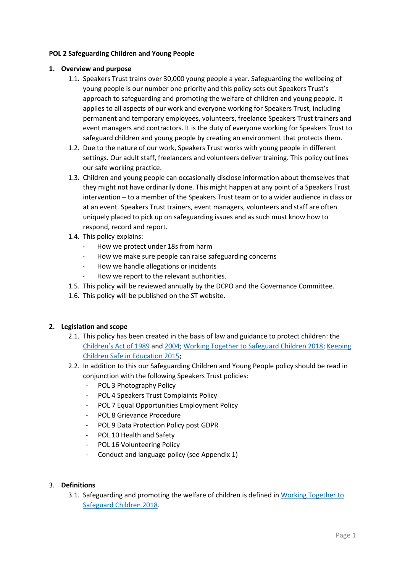### **POL 2 Safeguarding Children and Young People**

### **1. Overview and purpose**

- 1.1. Speakers Trust trains over 30,000 young people a year. Safeguarding the wellbeing of young people is our number one priority and this policy sets out Speakers Trust's approach to safeguarding and promoting the welfare of children and young people. It applies to all aspects of our work and everyone working for Speakers Trust, including permanent and temporary employees, volunteers, freelance Speakers Trust trainers and event managers and contractors. It is the duty of everyone working for Speakers Trust to safeguard children and young people by creating an environment that protects them.
- 1.2. Due to the nature of our work, Speakers Trust works with young people in different settings. Our adult staff, freelancers and volunteers deliver training. This policy outlines our safe working practice.
- 1.3. Children and young people can occasionally disclose information about themselves that they might not have ordinarily done. This might happen at any point of a Speakers Trust intervention – to a member of the Speakers Trust team or to a wider audience in class or at an event. Speakers Trust trainers, event managers, volunteers and staff are often uniquely placed to pick up on safeguarding issues and as such must know how to respond, record and report.
- 1.4. This policy explains:
	- How we protect under 18s from harm
	- How we make sure people can raise safeguarding concerns
	- How we handle allegations or incidents
	- How we report to the relevant authorities.
- 1.5. This policy will be reviewed annually by the DCPO and the Governance Committee.
- 1.6. This policy will be published on the ST website.

#### **2. Legislation and scope**

- 2.1. This policy has been created in the basis of law and guidance to protect children: the [Children's Act of 1989](https://www.legislation.gov.uk/ukpga/1989/41/contents) and [2004;](https://www.legislation.gov.uk/ukpga/2004/31/contents) Working Together to [Safeguard Children 2018;](https://assets.publishing.service.gov.uk/government/uploads/system/uploads/attachment_data/file/729914/Working_Together_to_Safeguard_Children-2018.pdf) [Keeping](https://www.gov.uk/government/publications/keeping-children-safe-in-education--2)  [Children Safe in Education 2015;](https://www.gov.uk/government/publications/keeping-children-safe-in-education--2)
- 2.2. In addition to this our Safeguarding Children and Young People policy should be read in conjunction with the following Speakers Trust policies:
	- POL 3 Photography Policy
	- POL 4 Speakers Trust Complaints Policy
	- POL 7 Equal Opportunities Employment Policy
	- POL 8 Grievance Procedure
	- POL 9 Data Protection Policy post GDPR
	- POL 10 Health and Safety
	- POL 16 Volunteering Policy
	- Conduct and language policy (see Appendix 1)

#### 3. **Definitions**

3.1. Safeguarding and promoting the welfare of children is defined in [Working Together to](https://assets.publishing.service.gov.uk/government/uploads/system/uploads/attachment_data/file/729914/Working_Together_to_Safeguard_Children-2018.pdf)  [Safeguard Children 2018.](https://assets.publishing.service.gov.uk/government/uploads/system/uploads/attachment_data/file/729914/Working_Together_to_Safeguard_Children-2018.pdf)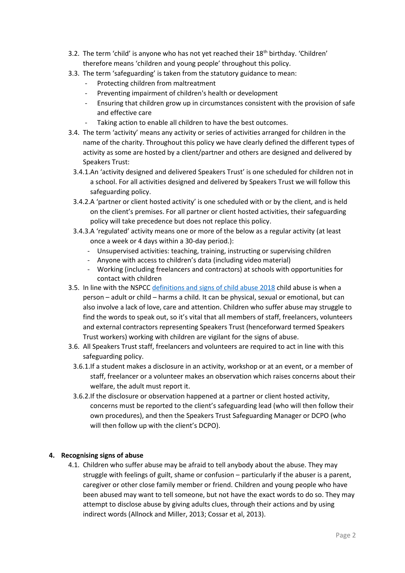- 3.2. The term 'child' is anyone who has not yet reached their  $18<sup>th</sup>$  birthday. 'Children' therefore means 'children and young people' throughout this policy.
- 3.3. The term 'safeguarding' is taken from the statutory guidance to mean:
	- Protecting children from maltreatment
	- Preventing impairment of children's health or development
	- Ensuring that children grow up in circumstances consistent with the provision of safe and effective care
	- Taking action to enable all children to have the best outcomes.
- 3.4. The term 'activity' means any activity or series of activities arranged for children in the name of the charity. Throughout this policy we have clearly defined the different types of activity as some are hosted by a client/partner and others are designed and delivered by Speakers Trust:
	- 3.4.1.An 'activity designed and delivered Speakers Trust' is one scheduled for children not in a school. For all activities designed and delivered by Speakers Trust we will follow this safeguarding policy.
	- 3.4.2.A 'partner or client hosted activity' is one scheduled with or by the client, and is held on the client's premises. For all partner or client hosted activities, their safeguarding policy will take precedence but does not replace this policy.
	- 3.4.3.A 'regulated' activity means one or more of the below as a regular activity (at least once a week or 4 days within a 30-day period.):
		- Unsupervised activities: teaching, training, instructing or supervising children
		- Anyone with access to children's data (including video material)
		- Working (including freelancers and contractors) at schools with opportunities for contact with children
- 3.5. In line with the NSPC[C definitions and signs of child abuse 2018](https://learning.nspcc.org.uk/research-resources/briefings/definitions-signs-child-abuse/) child abuse is when a person – adult or child – harms a child. It can be physical, sexual or emotional, but can also involve a lack of love, care and attention. Children who suffer abuse may struggle to find the words to speak out, so it's vital that all members of staff, freelancers, volunteers and external contractors representing Speakers Trust (henceforward termed Speakers Trust workers) working with children are vigilant for the signs of abuse.
- 3.6. All Speakers Trust staff, freelancers and volunteers are required to act in line with this safeguarding policy.
	- 3.6.1.If a student makes a disclosure in an activity, workshop or at an event, or a member of staff, freelancer or a volunteer makes an observation which raises concerns about their welfare, the adult must report it.
	- 3.6.2.If the disclosure or observation happened at a partner or client hosted activity, concerns must be reported to the client's safeguarding lead (who will then follow their own procedures), and then the Speakers Trust Safeguarding Manager or DCPO (who will then follow up with the client's DCPO).

# **4. Recognising signs of abuse**

4.1. Children who suffer abuse may be afraid to tell anybody about the abuse. They may struggle with feelings of guilt, shame or confusion – particularly if the abuser is a parent, caregiver or other close family member or friend. Children and young people who have been abused may want to tell someone, but not have the exact words to do so. They may attempt to disclose abuse by giving adults clues, through their actions and by using indirect words (Allnock and Miller, 2013; Cossar et al, 2013).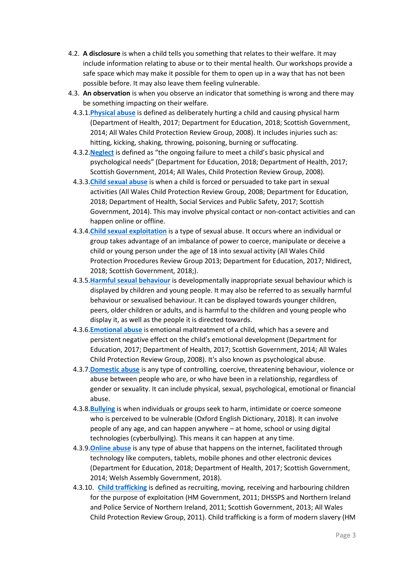- 4.2. **A disclosure** is when a child tells you something that relates to their welfare. It may include information relating to abuse or to their mental health. Our workshops provide a safe space which may make it possible for them to open up in a way that has not been possible before. It may also leave them feeling vulnerable.
- 4.3. **An observation** is when you observe an indicator that something is wrong and there may be something impacting on their welfare.
	- 4.3.1.**[Physical abuse](https://learning.nspcc.org.uk/child-abuse-and-neglect/physical-abuse/)** is defined as deliberately hurting a child and causing physical harm (Department of Health, 2017; Department for Education, 2018; Scottish Government, 2014; All Wales Child Protection Review Group, 2008). It includes injuries such as: hitting, kicking, shaking, throwing, poisoning, burning or suffocating.
	- 4.3.2.**[Neglect](https://learning.nspcc.org.uk/child-abuse-and-neglect/neglect/)** is defined as "the ongoing failure to meet a child's basic physical and psychological needs" (Department for Education, 2018; Department of Health, 2017; Scottish Government, 2014; All Wales, Child Protection Review Group, 2008).
	- 4.3.3.**[Child sexual abuse](https://learning.nspcc.org.uk/child-abuse-and-neglect/child-sexual-abuse/)** is when a child is forced or persuaded to take part in sexual activities (All Wales Child Protection Review Group, 2008; Department for Education, 2018; Department of Health, Social Services and Public Safety, 2017; Scottish Government, 2014). This may involve physical contact or non-contact activities and can happen online or offline.
	- 4.3.4.**[Child sexual exploitation](https://learning.nspcc.org.uk/child-abuse-and-neglect/child-sexual-exploitation/)** is a type of sexual abuse. It occurs where an individual or group takes advantage of an imbalance of power to coerce, manipulate or deceive a child or young person under the age of 18 into sexual activity (All Wales Child Protection Procedures Review Group 2013; Department for Education, 2017; NIdirect, 2018; Scottish Government, 2018;).
	- 4.3.5.**[Harmful sexual behaviour](https://learning.nspcc.org.uk/child-abuse-and-neglect/harmful-sexual-behaviour/)** is developmentally inappropriate sexual behaviour which is displayed by children and young people. It may also be referred to as sexually harmful behaviour or sexualised behaviour. It can be displayed towards younger children, peers, older children or adults, and is harmful to the children and young people who display it, as well as the people it is directed towards.
	- 4.3.6.**[Emotional abuse](https://learning.nspcc.org.uk/child-abuse-and-neglect/emotional-abuse/)** is emotional maltreatment of a child, which has a severe and persistent negative effect on the child's emotional development (Department for Education, 2017; Department of Health, 2017; Scottish Government, 2014; All Wales Child Protection Review Group, 2008). It's also known as psychological abuse.
	- 4.3.7.**[Domestic abuse](https://learning.nspcc.org.uk/child-abuse-and-neglect/domestic-abuse/)** is any type of controlling, coercive, threatening behaviour, violence or abuse between people who are, or who have been in a relationship, regardless of gender or sexuality. It can include physical, sexual, psychological, emotional or financial abuse.
	- 4.3.8.**[Bullying](https://learning.nspcc.org.uk/child-abuse-and-neglect/bullying/)** is when individuals or groups seek to harm, intimidate or coerce someone who is perceived to be vulnerable (Oxford English Dictionary, 2018). It can involve people of any age, and can happen anywhere – at home, school or using digital technologies (cyberbullying). This means it can happen at any time.
	- 4.3.9.**[Online abuse](https://learning.nspcc.org.uk/child-abuse-and-neglect/online-abuse/)** is any type of abuse that happens on the internet, facilitated through technology like computers, tablets, mobile phones and other electronic devices (Department for Education, 2018; Department of Health, 2017; Scottish Government, 2014; Welsh Assembly Government, 2018).
	- 4.3.10. **[Child trafficking](https://learning.nspcc.org.uk/child-abuse-and-neglect/child-trafficking-and-modern-slavery/)** is defined as recruiting, moving, receiving and harbouring children for the purpose of exploitation (HM Government, 2011; DHSSPS and Northern Ireland and Police Service of Northern Ireland, 2011; Scottish Government, 2013; All Wales Child Protection Review Group, 2011). Child trafficking is a form of modern slavery (HM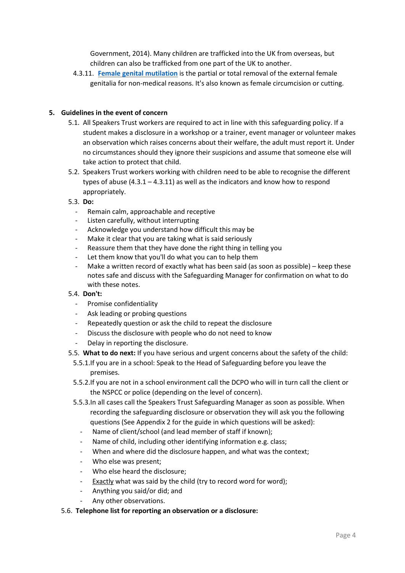Government, 2014). Many children are trafficked into the UK from overseas, but children can also be trafficked from one part of the UK to another.

4.3.11. **[Female genital mutilation](https://learning.nspcc.org.uk/child-abuse-and-neglect/fgm/)** is the partial or total removal of the external female genitalia for non-medical reasons. It's also known as female circumcision or cutting.

### **5. Guidelines in the event of concern**

- 5.1. All Speakers Trust workers are required to act in line with this safeguarding policy. If a student makes a disclosure in a workshop or a trainer, event manager or volunteer makes an observation which raises concerns about their welfare, the adult must report it. Under no circumstances should they ignore their suspicions and assume that someone else will take action to protect that child.
- 5.2. Speakers Trust workers working with children need to be able to recognise the different types of abuse  $(4.3.1 - 4.3.11)$  as well as the indicators and know how to respond appropriately.
- 5.3. **Do:**
	- Remain calm, approachable and receptive
	- Listen carefully, without interrupting
	- Acknowledge you understand how difficult this may be
	- Make it clear that you are taking what is said seriously
	- Reassure them that they have done the right thing in telling you
	- Let them know that you'll do what you can to help them
	- Make a written record of exactly what has been said (as soon as possible) keep these notes safe and discuss with the Safeguarding Manager for confirmation on what to do with these notes.

# 5.4. **Don't:**

- Promise confidentiality
- Ask leading or probing questions
- Repeatedly question or ask the child to repeat the disclosure
- Discuss the disclosure with people who do not need to know
- Delay in reporting the disclosure.
- 5.5. **What to do next:** If you have serious and urgent concerns about the safety of the child:
	- 5.5.1.If you are in a school: Speak to the Head of Safeguarding before you leave the premises.
	- 5.5.2.If you are not in a school environment call the DCPO who will in turn call the client or the NSPCC or police (depending on the level of concern).
	- 5.5.3.In all cases call the Speakers Trust Safeguarding Manager as soon as possible. When recording the safeguarding disclosure or observation they will ask you the following questions (See Appendix 2 for the guide in which questions will be asked):
		- Name of client/school (and lead member of staff if known);
		- Name of child, including other identifying information e.g. class;
		- When and where did the disclosure happen, and what was the context;
		- Who else was present;
		- Who else heard the disclosure;
		- Exactly what was said by the child (try to record word for word);
		- Anything you said/or did; and
		- Any other observations.

#### 5.6. **Telephone list for reporting an observation or a disclosure:**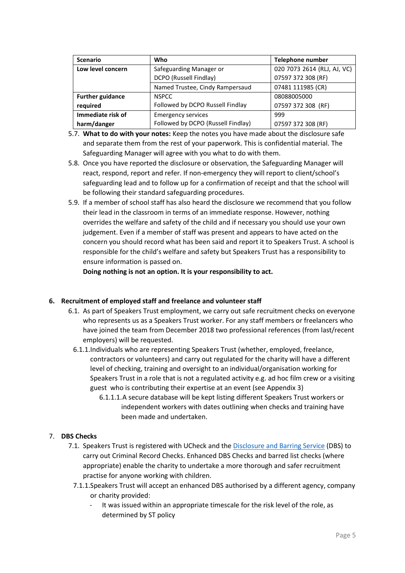| <b>Scenario</b>                              | Who                                | Telephone number            |
|----------------------------------------------|------------------------------------|-----------------------------|
| Low level concern<br>Safeguarding Manager or |                                    | 020 7073 2614 (RLJ, AJ, VC) |
|                                              | DCPO (Russell Findlay)             | 07597 372 308 (RF)          |
|                                              | Named Trustee, Cindy Rampersaud    | 07481 111985 (CR)           |
| <b>Further guidance</b>                      | <b>NSPCC</b>                       | 08088005000                 |
| required                                     | Followed by DCPO Russell Findlay   | 07597 372 308 (RF)          |
| Immediate risk of                            | <b>Emergency services</b>          | 999                         |
| harm/danger                                  | Followed by DCPO (Russell Findlay) | 07597 372 308 (RF)          |

- 5.7. **What to do with your notes:** Keep the notes you have made about the disclosure safe and separate them from the rest of your paperwork. This is confidential material. The Safeguarding Manager will agree with you what to do with them.
- 5.8. Once you have reported the disclosure or observation, the Safeguarding Manager will react, respond, report and refer. If non-emergency they will report to client/school's safeguarding lead and to follow up for a confirmation of receipt and that the school will be following their standard safeguarding procedures.
- 5.9. If a member of school staff has also heard the disclosure we recommend that you follow their lead in the classroom in terms of an immediate response. However, nothing overrides the welfare and safety of the child and if necessary you should use your own judgement. Even if a member of staff was present and appears to have acted on the concern you should record what has been said and report it to Speakers Trust. A school is responsible for the child's welfare and safety but Speakers Trust has a responsibility to ensure information is passed on.

**Doing nothing is not an option. It is your responsibility to act.**

# **6. Recruitment of employed staff and freelance and volunteer staff**

- 6.1. As part of Speakers Trust employment, we carry out safe recruitment checks on everyone who represents us as a Speakers Trust worker. For any staff members or freelancers who have joined the team from December 2018 two professional references (from last/recent employers) will be requested.
	- 6.1.1.Individuals who are representing Speakers Trust (whether, employed, freelance, contractors or volunteers) and carry out regulated for the charity will have a different level of checking, training and oversight to an individual/organisation working for Speakers Trust in a role that is not a regulated activity e.g. ad hoc film crew or a visiting guest who is contributing their expertise at an event (see Appendix 3)
		- 6.1.1.1.A secure database will be kept listing different Speakers Trust workers or independent workers with dates outlining when checks and training have been made and undertaken.

# 7. **DBS Checks**

- 7.1. Speakers Trust is registered with UCheck and the [Disclosure and Barring Service](https://www.gov.uk/government/organisations/disclosure-and-barring-service) (DBS) to carry out Criminal Record Checks. Enhanced DBS Checks and barred list checks (where appropriate) enable the charity to undertake a more thorough and safer recruitment practise for anyone working with children.
	- 7.1.1.Speakers Trust will accept an enhanced DBS authorised by a different agency, company or charity provided:
		- It was issued within an appropriate timescale for the risk level of the role, as determined by ST policy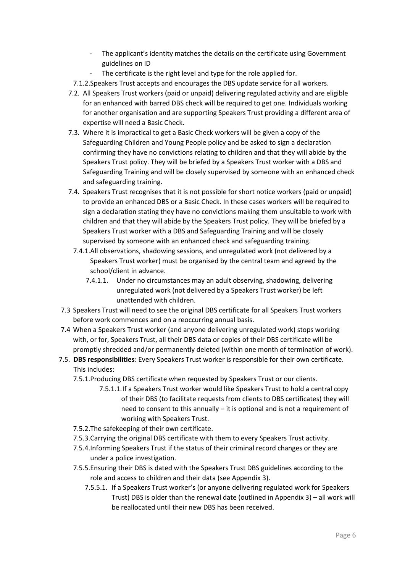- The applicant's identity matches the details on the certificate using Government guidelines on ID
- The certificate is the right level and type for the role applied for.
- 7.1.2.Speakers Trust accepts and encourages the DBS update service for all workers.
- 7.2. All Speakers Trust workers (paid or unpaid) delivering regulated activity and are eligible for an enhanced with barred DBS check will be required to get one. Individuals working for another organisation and are supporting Speakers Trust providing a different area of expertise will need a Basic Check.
- 7.3. Where it is impractical to get a Basic Check workers will be given a copy of the Safeguarding Children and Young People policy and be asked to sign a declaration confirming they have no convictions relating to children and that they will abide by the Speakers Trust policy. They will be briefed by a Speakers Trust worker with a DBS and Safeguarding Training and will be closely supervised by someone with an enhanced check and safeguarding training.
- 7.4. Speakers Trust recognises that it is not possible for short notice workers (paid or unpaid) to provide an enhanced DBS or a Basic Check. In these cases workers will be required to sign a declaration stating they have no convictions making them unsuitable to work with children and that they will abide by the Speakers Trust policy. They will be briefed by a Speakers Trust worker with a DBS and Safeguarding Training and will be closely supervised by someone with an enhanced check and safeguarding training.
	- 7.4.1.All observations, shadowing sessions, and unregulated work (not delivered by a Speakers Trust worker) must be organised by the central team and agreed by the school/client in advance.
		- 7.4.1.1. Under no circumstances may an adult observing, shadowing, delivering unregulated work (not delivered by a Speakers Trust worker) be left unattended with children.
- 7.3 Speakers Trust will need to see the original DBS certificate for all Speakers Trust workers before work commences and on a reoccurring annual basis.
- 7.4 When a Speakers Trust worker (and anyone delivering unregulated work) stops working with, or for, Speakers Trust, all their DBS data or copies of their DBS certificate will be promptly shredded and/or permanently deleted (within one month of termination of work).
- 7.5. **DBS responsibilities**: Every Speakers Trust worker is responsible for their own certificate. This includes:
	- 7.5.1.Producing DBS certificate when requested by Speakers Trust or our clients.
		- 7.5.1.1.If a Speakers Trust worker would like Speakers Trust to hold a central copy of their DBS (to facilitate requests from clients to DBS certificates) they will need to consent to this annually – it is optional and is not a requirement of working with Speakers Trust.
	- 7.5.2.The safekeeping of their own certificate.
	- 7.5.3.Carrying the original DBS certificate with them to every Speakers Trust activity.
	- 7.5.4.Informing Speakers Trust if the status of their criminal record changes or they are under a police investigation.
	- 7.5.5.Ensuring their DBS is dated with the Speakers Trust DBS guidelines according to the role and access to children and their data (see Appendix 3).
		- 7.5.5.1. If a Speakers Trust worker's (or anyone delivering regulated work for Speakers Trust) DBS is older than the renewal date (outlined in Appendix 3) – all work will be reallocated until their new DBS has been received.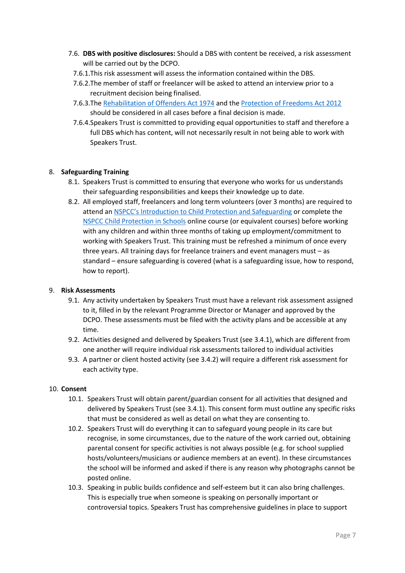- 7.6. **DBS with positive disclosures:** Should a DBS with content be received, a risk assessment will be carried out by the DCPO.
	- 7.6.1.This risk assessment will assess the information contained within the DBS.
	- 7.6.2.The member of staff or freelancer will be asked to attend an interview prior to a recruitment decision being finalised.
	- 7.6.3.The [Rehabilitation of Offenders Act 1974](https://www.legislation.gov.uk/ukpga/1974/53) and th[e Protection of Freedoms Act 2012](http://www.legislation.gov.uk/ukpga/2012/9/contents/enacted) should be considered in all cases before a final decision is made.
	- 7.6.4.Speakers Trust is committed to providing equal opportunities to staff and therefore a full DBS which has content, will not necessarily result in not being able to work with Speakers Trust.

### 8. **Safeguarding Training**

- 8.1. Speakers Trust is committed to ensuring that everyone who works for us understands their safeguarding responsibilities and keeps their knowledge up to date.
- 8.2. All employed staff, freelancers and long term volunteers (over 3 months) are required to attend an NSPCC's I[ntroduction to Child Protection and Safeguarding](https://learning.nspcc.org.uk/training/introductory/introduction-to-safeguarding-and-child-protection/) or complete the [NSPCC Child Protection in Schools](https://learning.nspcc.org.uk/training/schools/child-protection-in-schools-online-course/) online course (or equivalent courses) before working with any children and within three months of taking up employment/commitment to working with Speakers Trust. This training must be refreshed a minimum of once every three years. All training days for freelance trainers and event managers must – as standard – ensure safeguarding is covered (what is a safeguarding issue, how to respond, how to report).

#### 9. **Risk Assessments**

- 9.1. Any activity undertaken by Speakers Trust must have a relevant risk assessment assigned to it, filled in by the relevant Programme Director or Manager and approved by the DCPO. These assessments must be filed with the activity plans and be accessible at any time.
- 9.2. Activities designed and delivered by Speakers Trust (see 3.4.1), which are different from one another will require individual risk assessments tailored to individual activities
- 9.3. A partner or client hosted activity (see 3.4.2) will require a different risk assessment for each activity type.

#### 10. **Consent**

- 10.1. Speakers Trust will obtain parent/guardian consent for all activities that designed and delivered by Speakers Trust (see 3.4.1). This consent form must outline any specific risks that must be considered as well as detail on what they are consenting to.
- 10.2. Speakers Trust will do everything it can to safeguard young people in its care but recognise, in some circumstances, due to the nature of the work carried out, obtaining parental consent for specific activities is not always possible (e.g. for school supplied hosts/volunteers/musicians or audience members at an event). In these circumstances the school will be informed and asked if there is any reason why photographs cannot be posted online.
- 10.3. Speaking in public builds confidence and self-esteem but it can also bring challenges. This is especially true when someone is speaking on personally important or controversial topics. Speakers Trust has comprehensive guidelines in place to support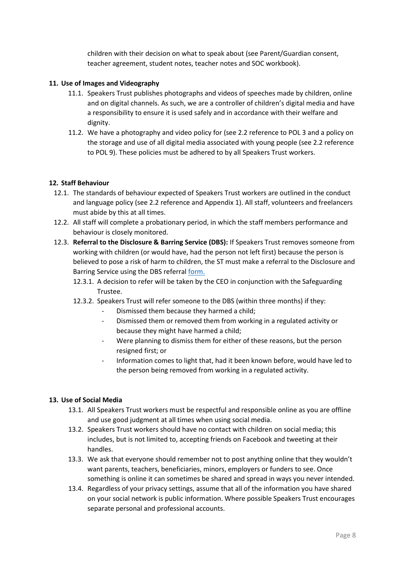children with their decision on what to speak about (see Parent/Guardian consent, teacher agreement, student notes, teacher notes and SOC workbook).

### **11. Use of Images and Videography**

- 11.1. Speakers Trust publishes photographs and videos of speeches made by children, online and on digital channels. As such, we are a controller of children's digital media and have a responsibility to ensure it is used safely and in accordance with their welfare and dignity.
- 11.2. We have a photography and video policy for (see 2.2 reference to POL 3 and a policy on the storage and use of all digital media associated with young people (see 2.2 reference to POL 9). These policies must be adhered to by all Speakers Trust workers.

### **12. Staff Behaviour**

- 12.1. The standards of behaviour expected of Speakers Trust workers are outlined in the conduct and language policy (see 2.2 reference and Appendix 1). All staff, volunteers and freelancers must abide by this at all times.
- 12.2. All staff will complete a probationary period, in which the staff members performance and behaviour is closely monitored.
- 12.3. **Referral to the Disclosure & Barring Service (DBS):** If Speakers Trust removes someone from working with children (or would have, had the person not left first) because the person is believed to pose a risk of harm to children, the ST must make a referral to the Disclosure and Barring Service using the DBS referra[l form.](https://speakerstrust.sharepoint.com/sites/Administration/Shared%20Documents/Policies%20and%20Procedures/Draft%20Policies/POL2%20Safeguarding%20Children%20and%20Young%20People/1.1.%09https:/www.gov.uk/government/publications/dbs-referrals-form-and-guidance)
	- 12.3.1. A decision to refer will be taken by the CEO in conjunction with the Safeguarding Trustee.
	- 12.3.2. Speakers Trust will refer someone to the DBS (within three months) if they:
		- Dismissed them because they harmed a child;
		- Dismissed them or removed them from working in a regulated activity or because they might have harmed a child;
		- Were planning to dismiss them for either of these reasons, but the person resigned first; or
		- Information comes to light that, had it been known before, would have led to the person being removed from working in a regulated activity.

#### **13. Use of Social Media**

- 13.1. All Speakers Trust workers must be respectful and responsible online as you are offline and use good judgment at all times when using social media.
- 13.2. Speakers Trust workers should have no contact with children on social media; this includes, but is not limited to, accepting friends on Facebook and tweeting at their handles.
- 13.3. We ask that everyone should remember not to post anything online that they wouldn't want parents, teachers, beneficiaries, minors, employers or funders to see. Once something is online it can sometimes be shared and spread in ways you never intended.
- 13.4. Regardless of your privacy settings, assume that all of the information you have shared on your social network is public information. Where possible Speakers Trust encourages separate personal and professional accounts.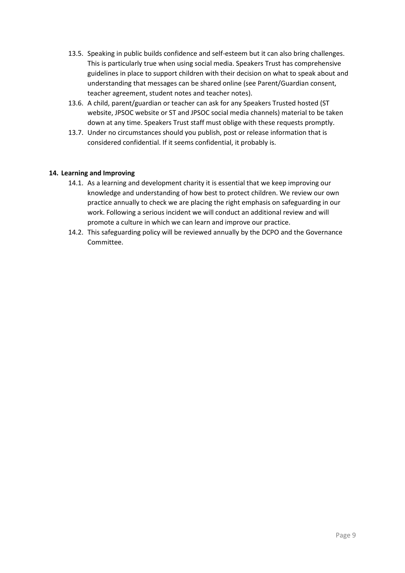- 13.5. Speaking in public builds confidence and self-esteem but it can also bring challenges. This is particularly true when using social media. Speakers Trust has comprehensive guidelines in place to support children with their decision on what to speak about and understanding that messages can be shared online (see Parent/Guardian consent, teacher agreement, student notes and teacher notes).
- 13.6. A child, parent/guardian or teacher can ask for any Speakers Trusted hosted (ST website, JPSOC website or ST and JPSOC social media channels) material to be taken down at any time. Speakers Trust staff must oblige with these requests promptly.
- 13.7. Under no circumstances should you publish, post or release information that is considered confidential. If it seems confidential, it probably is.

# **14. Learning and Improving**

- 14.1. As a learning and development charity it is essential that we keep improving our knowledge and understanding of how best to protect children. We review our own practice annually to check we are placing the right emphasis on safeguarding in our work. Following a serious incident we will conduct an additional review and will promote a culture in which we can learn and improve our practice.
- 14.2. This safeguarding policy will be reviewed annually by the DCPO and the Governance Committee.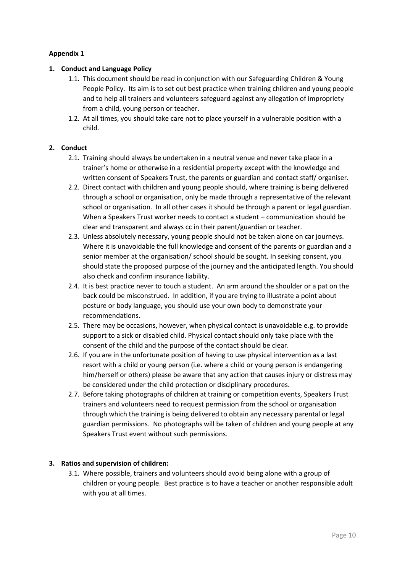# **Appendix 1**

# **1. Conduct and Language Policy**

- 1.1. This document should be read in conjunction with our Safeguarding Children & Young People Policy. Its aim is to set out best practice when training children and young people and to help all trainers and volunteers safeguard against any allegation of impropriety from a child, young person or teacher.
- 1.2. At all times, you should take care not to place yourself in a vulnerable position with a child.

# **2. Conduct**

- 2.1. Training should always be undertaken in a neutral venue and never take place in a trainer's home or otherwise in a residential property except with the knowledge and written consent of Speakers Trust, the parents or guardian and contact staff/ organiser.
- 2.2. Direct contact with children and young people should, where training is being delivered through a school or organisation, only be made through a representative of the relevant school or organisation. In all other cases it should be through a parent or legal guardian. When a Speakers Trust worker needs to contact a student – communication should be clear and transparent and always cc in their parent/guardian or teacher.
- 2.3. Unless absolutely necessary, young people should not be taken alone on car journeys. Where it is unavoidable the full knowledge and consent of the parents or guardian and a senior member at the organisation/ school should be sought. In seeking consent, you should state the proposed purpose of the journey and the anticipated length. You should also check and confirm insurance liability.
- 2.4. It is best practice never to touch a student. An arm around the shoulder or a pat on the back could be misconstrued. In addition, if you are trying to illustrate a point about posture or body language, you should use your own body to demonstrate your recommendations.
- 2.5. There may be occasions, however, when physical contact is unavoidable e.g. to provide support to a sick or disabled child. Physical contact should only take place with the consent of the child and the purpose of the contact should be clear.
- 2.6. If you are in the unfortunate position of having to use physical intervention as a last resort with a child or young person (i.e. where a child or young person is endangering him/herself or others) please be aware that any action that causes injury or distress may be considered under the child protection or disciplinary procedures.
- 2.7. Before taking photographs of children at training or competition events, Speakers Trust trainers and volunteers need to request permission from the school or organisation through which the training is being delivered to obtain any necessary parental or legal guardian permissions. No photographs will be taken of children and young people at any Speakers Trust event without such permissions.

# **3. Ratios and supervision of children:**

3.1. Where possible, trainers and volunteers should avoid being alone with a group of children or young people. Best practice is to have a teacher or another responsible adult with you at all times.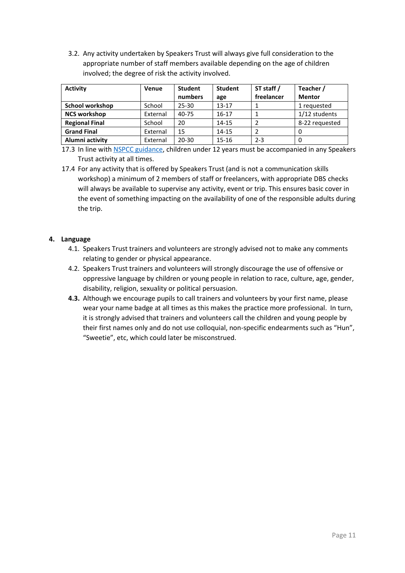3.2. Any activity undertaken by Speakers Trust will always give full consideration to the appropriate number of staff members available depending on the age of children involved; the degree of risk the activity involved.

| <b>Activity</b>       | Venue    | <b>Student</b> | <b>Student</b> | ST staff / | Teacher /      |
|-----------------------|----------|----------------|----------------|------------|----------------|
|                       |          | numbers        | age            | freelancer | <b>Mentor</b>  |
| School workshop       | School   | 25-30          | $13 - 17$      |            | 1 requested    |
| <b>NCS workshop</b>   | External | 40-75          | $16 - 17$      |            | 1/12 students  |
| <b>Regional Final</b> | School   | 20             | $14 - 15$      |            | 8-22 requested |
| <b>Grand Final</b>    | External | 15             | $14 - 15$      |            |                |
| Alumni activity       | External | $20 - 30$      | 15-16          | $2 - 3$    |                |

<sup>17.3</sup> In line wit[h NSPCC guidance,](https://www.nspcc.org.uk/preventing-abuse/keeping-children-safe/leaving-child-home-alone) children under 12 years must be accompanied in any Speakers Trust activity at all times.

# **4. Language**

- 4.1. Speakers Trust trainers and volunteers are strongly advised not to make any comments relating to gender or physical appearance.
- 4.2. Speakers Trust trainers and volunteers will strongly discourage the use of offensive or oppressive language by children or young people in relation to race, culture, age, gender, disability, religion, sexuality or political persuasion.
- **4.3.** Although we encourage pupils to call trainers and volunteers by your first name, please wear your name badge at all times as this makes the practice more professional. In turn, it is strongly advised that trainers and volunteers call the children and young people by their first names only and do not use colloquial, non-specific endearments such as "Hun", "Sweetie", etc, which could later be misconstrued.

<sup>17.4</sup> For any activity that is offered by Speakers Trust (and is not a communication skills workshop) a minimum of 2 members of staff or freelancers, with appropriate DBS checks will always be available to supervise any activity, event or trip. This ensures basic cover in the event of something impacting on the availability of one of the responsible adults during the trip.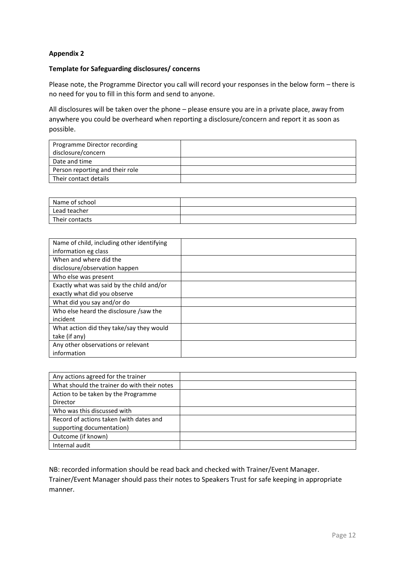# **Appendix 2**

#### **Template for Safeguarding disclosures/ concerns**

Please note, the Programme Director you call will record your responses in the below form – there is no need for you to fill in this form and send to anyone.

All disclosures will be taken over the phone – please ensure you are in a private place, away from anywhere you could be overheard when reporting a disclosure/concern and report it as soon as possible.

| Programme Director recording    |  |
|---------------------------------|--|
| disclosure/concern              |  |
| Date and time                   |  |
| Person reporting and their role |  |
| Their contact details           |  |

| Name of school |  |
|----------------|--|
| Lead teacher   |  |
| Their contacts |  |

| Name of child, including other identifying<br>information eg class        |  |
|---------------------------------------------------------------------------|--|
| When and where did the<br>disclosure/observation happen                   |  |
| Who else was present                                                      |  |
| Exactly what was said by the child and/or<br>exactly what did you observe |  |
| What did you say and/or do                                                |  |
| Who else heard the disclosure /saw the<br>incident                        |  |
| What action did they take/say they would<br>take (if any)                 |  |
| Any other observations or relevant<br>information                         |  |

| Any actions agreed for the trainer          |  |
|---------------------------------------------|--|
| What should the trainer do with their notes |  |
| Action to be taken by the Programme         |  |
| Director                                    |  |
| Who was this discussed with                 |  |
| Record of actions taken (with dates and     |  |
| supporting documentation)                   |  |
| Outcome (if known)                          |  |
| Internal audit                              |  |

NB: recorded information should be read back and checked with Trainer/Event Manager. Trainer/Event Manager should pass their notes to Speakers Trust for safe keeping in appropriate manner.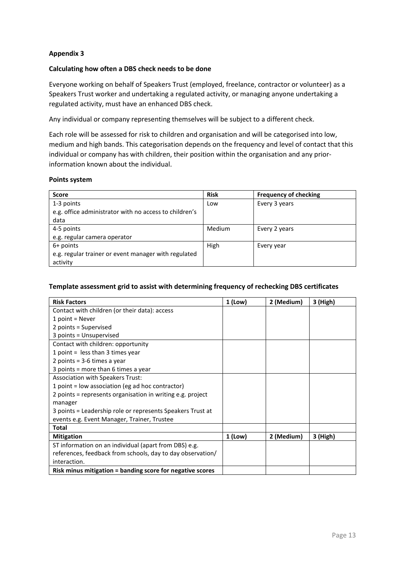# **Appendix 3**

### **Calculating how often a DBS check needs to be done**

Everyone working on behalf of Speakers Trust (employed, freelance, contractor or volunteer) as a Speakers Trust worker and undertaking a regulated activity, or managing anyone undertaking a regulated activity, must have an enhanced DBS check.

Any individual or company representing themselves will be subject to a different check.

Each role will be assessed for risk to children and organisation and will be categorised into low, medium and high bands. This categorisation depends on the frequency and level of contact that this individual or company has with children, their position within the organisation and any priorinformation known about the individual.

#### **Points system**

| <b>Score</b>                                           | <b>Risk</b> | <b>Frequency of checking</b> |
|--------------------------------------------------------|-------------|------------------------------|
| 1-3 points                                             | Low         | Every 3 years                |
| e.g. office administrator with no access to children's |             |                              |
| data                                                   |             |                              |
| 4-5 points                                             | Medium      | Every 2 years                |
| e.g. regular camera operator                           |             |                              |
| 6+ points                                              | High        | Every year                   |
| e.g. regular trainer or event manager with regulated   |             |                              |
| activity                                               |             |                              |

#### **Template assessment grid to assist with determining frequency of rechecking DBS certificates**

| <b>Risk Factors</b>                                        | 1 (Low) | 2 (Medium) | 3 (High) |
|------------------------------------------------------------|---------|------------|----------|
| Contact with children (or their data): access              |         |            |          |
| 1 point = Never                                            |         |            |          |
| 2 points = Supervised                                      |         |            |          |
| 3 points = Unsupervised                                    |         |            |          |
| Contact with children: opportunity                         |         |            |          |
| 1 point = $less than 3 times year$                         |         |            |          |
| 2 points = 3-6 times a year                                |         |            |          |
| 3 points = more than 6 times a year                        |         |            |          |
| Association with Speakers Trust:                           |         |            |          |
| 1 point = low association (eg ad hoc contractor)           |         |            |          |
| 2 points = represents organisation in writing e.g. project |         |            |          |
| manager                                                    |         |            |          |
| 3 points = Leadership role or represents Speakers Trust at |         |            |          |
| events e.g. Event Manager, Trainer, Trustee                |         |            |          |
| <b>Total</b>                                               |         |            |          |
| <b>Mitigation</b>                                          | 1 (Low) | 2 (Medium) | 3 (High) |
| ST information on an individual (apart from DBS) e.g.      |         |            |          |
| references, feedback from schools, day to day observation/ |         |            |          |
| interaction.                                               |         |            |          |
| Risk minus mitigation = banding score for negative scores  |         |            |          |